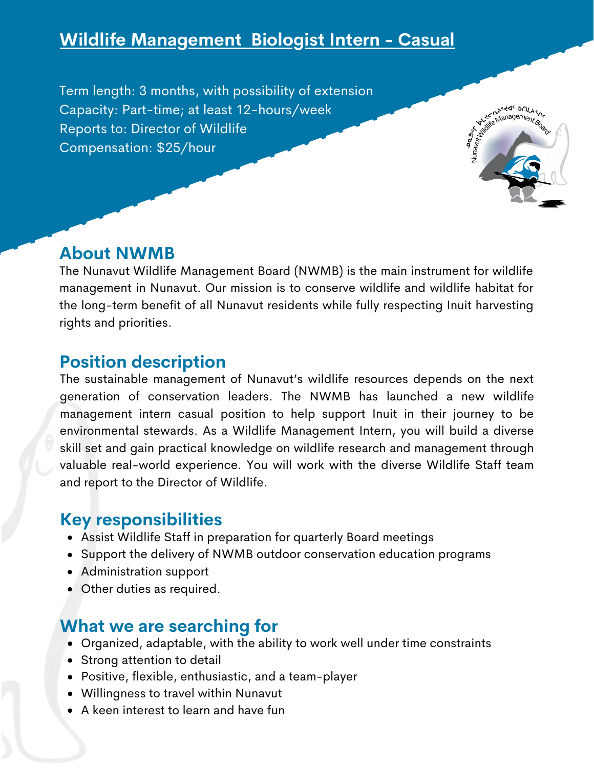# **Wildlife Management Biologist Intern - Casual**

Term length: 3 months, with possibility of extension Capacity: Part-time; at least 12-hours/week Reports to: Director of Wildlife Compensation: \$25/hour



### **About NWMB**

The Nunavut Wildlife Management Board (NWMB) is the main instrument for wildlife management in Nunavut. Our mission is to conserve wildlife and wildlife habitat for the long-term benefit of all Nunavut residents while fully respecting Inuit harvesting rights and priorities.

# **Position description**

The sustainable management of Nunavut's wildlife resources depends on the next generation of conservation leaders. The NWMB has launched a new wildlife management intern casual position to help support Inuit in their journey to be environmental stewards. As a Wildlife Management Intern, you will build a diverse skill set and gain practical knowledge on wildlife research and management through valuable real-world experience. You will work with the diverse Wildlife Staff team and report to the Director of Wildlife.

# **Key responsibilities**

- Assist Wildlife Staff in preparation for quarterly Board meetings
- Support the delivery of NWMB outdoor conservation education programs
- Administration support
- Other duties as required.

# **What we are searching for**

- Organized, adaptable, with the ability to work well under time constraints
- Strong attention to detail
- Positive, flexible, enthusiastic, and a team-player
- Willingness to travel within Nunavut
- A keen interest to learn and have fun